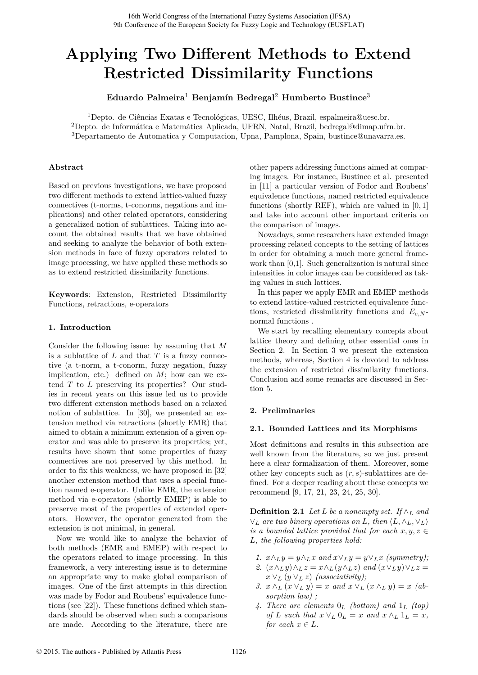# **Applying Two Different Methods to Extend Restricted Dissimilarity Functions**

**Eduardo Palmeira**<sup>1</sup> **Benjamín Bedregal**<sup>2</sup> **Humberto Bustince**<sup>3</sup>

<sup>1</sup>Depto. de Ciências Exatas e Tecnológicas, UESC, Ilhéus, Brazil, espalmeira@uesc.br. <sup>2</sup>Depto. de Informática e Matemática Aplicada, UFRN, Natal, Brazil, bedregal@dimap.ufrn.br. <sup>3</sup>Departamento de Automatica y Computacion, Upna, Pamplona, Spain, bustince@unavarra.es.

# **Abstract**

Based on previous investigations, we have proposed two different methods to extend lattice-valued fuzzy connectives (t-norms, t-conorms, negations and implications) and other related operators, considering a generalized notion of sublattices. Taking into account the obtained results that we have obtained and seeking to analyze the behavior of both extension methods in face of fuzzy operators related to image processing, we have applied these methods so as to extend restricted dissimilarity functions.

**Keywords**: Extension, Restricted Dissimilarity Functions, retractions, e-operators

# **1. Introduction**

Consider the following issue: by assuming that *M* is a sublattice of *L* and that *T* is a fuzzy connective (a t-norm, a t-conorm, fuzzy negation, fuzzy implication, etc.) defined on *M*; how can we extend *T* to *L* preserving its properties? Our studies in recent years on this issue led us to provide two different extension methods based on a relaxed notion of sublattice. In [30], we presented an extension method via retractions (shortly EMR) that aimed to obtain a minimum extension of a given operator and was able to preserve its properties; yet, results have shown that some properties of fuzzy connectives are not preserved by this method. In order to fix this weakness, we have proposed in [32] another extension method that uses a special function named e-operator. Unlike EMR, the extension method via e-operators (shortly EMEP) is able to preserve most of the properties of extended operators. However, the operator generated from the extension is not minimal, in general.

Now we would like to analyze the behavior of both methods (EMR and EMEP) with respect to the operators related to image processing. In this framework, a very interesting issue is to determine an appropriate way to make global comparison of images. One of the first attempts in this direction was made by Fodor and Roubens' equivalence functions (see [22]). These functions defined which standards should be observed when such a comparisons are made. According to the literature, there are other papers addressing functions aimed at comparing images. For instance, Bustince et al. presented in [11] a particular version of Fodor and Roubens' equivalence functions, named restricted equivalence functions (shortly REF), which are valued in [0*,* 1] and take into account other important criteria on the comparison of images.

Nowadays, some researchers have extended image processing related concepts to the setting of lattices in order for obtaining a much more general framework than [0,1]. Such generalization is natural since intensities in color images can be considered as taking values in such lattices.

In this paper we apply EMR and EMEP methods to extend lattice-valued restricted equivalence functions, restricted dissimilarity functions and  $E_{e,N}$ normal functions .

We start by recalling elementary concepts about lattice theory and defining other essential ones in Section 2. In Section 3 we present the extension methods, whereas, Section 4 is devoted to address the extension of restricted dissimilarity functions. Conclusion and some remarks are discussed in Section 5.

# **2. Preliminaries**

## **2.1. Bounded Lattices and its Morphisms**

Most definitions and results in this subsection are well known from the literature, so we just present here a clear formalization of them. Moreover, some other key concepts such as (*r, s*)-sublattices are defined. For a deeper reading about these concepts we recommend [9, 17, 21, 23, 24, 25, 30].

**Definition 2.1** *Let*  $L$  *be a nonempty set. If*  $\wedge_L$  *and*  $\vee_L$  *are two binary operations on L, then*  $\langle L, \wedge_L, \vee_L \rangle$ *is a bounded lattice provided that for each*  $x, y, z \in$ *L, the following properties hold:*

- *1.*  $x \wedge_L y = y \wedge_L x$  and  $x \vee_L y = y \vee_L x$  (symmetry);
- *2.*  $(x \wedge_L y) \wedge_L z = x \wedge_L (y \wedge_L z)$  *and*  $(x \vee_L y) \vee_L z =$  $x \vee_L (y \vee_L z)$  *(associativity);*
- *3.*  $x \wedge_L (x \vee_L y) = x$  and  $x \vee_L (x \wedge_L y) = x$  (ab*sorption law) ;*
- *4. There are elements* 0*<sup>L</sup> (bottom) and* 1*<sup>L</sup> (top)*  $of L \text{ such that } x \vee_L 0_L = x \text{ and } x \wedge_L 1_L = x$ , *for each*  $x \in L$ *.*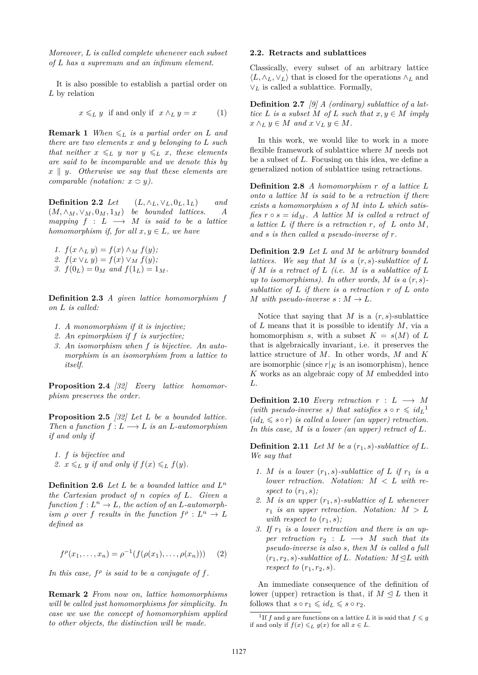*Moreover, L is called complete whenever each subset of L has a supremum and an infimum element.*

It is also possible to establish a partial order on *L* by relation

$$
x \leq_L y \quad \text{if and only if} \quad x \wedge_L y = x \tag{1}
$$

**Remark 1** *When*  $\leq_L$  *is a partial order on L and there are two elements x and y belonging to L such that neither*  $x \leq L$  *y nor*  $y \leq L$  *x, these elements are said to be incomparable and we denote this by*  $x \parallel y$ *. Otherwise we say that these elements are comparable (notation:*  $x \subseteq y$ ).

**Definition 2.2** *Let*  $(L, \wedge_L, \vee_L, 0_L, 1_L)$  *and*  $(M, \wedge_M, \vee_M, 0_M, 1_M)$  *be bounded lattices.* A *mapping*  $f : L \longrightarrow M$  *is said to be a lattice homomorphism if, for all*  $x, y \in L$ *, we have* 

*1.*  $f(x \land_L y) = f(x) \land_M f(y);$ *2.*  $f(x \vee_L y) = f(x) \vee_M f(y)$ ; *3.*  $f(0_L) = 0_M$  *and*  $f(1_L) = 1_M$ .

**Definition 2.3** *A given lattice homomorphism f on L is called:*

- *1. A monomorphism if it is injective;*
- *2. An epimorphism if f is surjective;*
- *3. An isomorphism when f is bijective. An automorphism is an isomorphism from a lattice to itself.*

**Proposition 2.4** *[32] Every lattice homomorphism preserves the order.*

**Proposition 2.5** *[32] Let L be a bounded lattice. Then a function*  $f: L \longrightarrow L$  *is an L*-automorphism *if and only if*

*1. f is bijective and* 2.  $x \leq L y$  *if and only if*  $f(x) \leq L f(y)$ *.* 

**Definition 2.6** *Let L be a bounded lattice and L n the Cartesian product of n copies of L. Given a*  $function f: L<sup>n</sup> \to L$ *, the action of an L-automorphism*  $\rho$  *over*  $f$  *results in the function*  $f^{\rho}: L^n \to L$ *defined as*

$$
f^{\rho}(x_1,...,x_n) = \rho^{-1}(f(\rho(x_1),..., \rho(x_n))) \qquad (2)
$$

In this case,  $f^{\rho}$  is said to be a conjugate of  $f$ .

**Remark 2** *From now on, lattice homomorphisms will be called just homomorphisms for simplicity. In case we use the concept of homomorphism applied to other objects, the distinction will be made.*

#### **2.2. Retracts and sublattices**

Classically, every subset of an arbitrary lattice  $\langle L, \wedge_L, \vee_L \rangle$  that is closed for the operations  $\wedge_L$  and ∨*<sup>L</sup>* is called a sublattice. Formally,

**Definition 2.7** *[9] A (ordinary) sublattice of a lattice*  $L$  *is a subset*  $M$  *of*  $L$  *such that*  $x, y \in M$  *imply*  $x \wedge_L y \in M$  *and*  $x \vee_L y \in M$ .

In this work, we would like to work in a more flexible framework of sublattice where *M* needs not be a subset of *L*. Focusing on this idea, we define a generalized notion of sublattice using retractions.

**Definition 2.8** *A homomorphism r of a lattice L onto a lattice M is said to be a retraction if there exists a homomorphism s of M into L which satisfies*  $r \circ s = id_M$ *. A lattice M is called a retract of a lattice L if there is a retraction r, of L onto M, and s is then called a pseudo-inverse of r.*

**Definition 2.9** *Let L and M be arbitrary bounded lattices. We say that M is a* (*r, s*)*-sublattice of L if M is a retract of L (i.e. M is a sublattice of L up to isomorphisms). In other words, M is a* (*r, s*) *sublattice of L if there is a retraction r of L onto M* with pseudo-inverse  $s : M \to L$ .

Notice that saying that *M* is a  $(r, s)$ -sublattice of *L* means that it is possible to identify *M*, via a homomorphism *s*, with a subset  $K = s(M)$  of L that is algebraically invariant, i.e. it preserves the lattice structure of *M*. In other words, *M* and *K* are isomorphic (since  $r|_K$  is an isomorphism), hence *K* works as an algebraic copy of *M* embedded into *L*.

**Definition 2.10** *Every retraction*  $r: L \rightarrow M$ *(with pseudo-inverse s) that satisfies*  $s \circ r \leq id_L^{-1}$  $(id_L \leq s \circ r)$  *is called a lower (an upper) retraction. In this case, M is a lower (an upper) retract of L.*

**Definition 2.11** *Let*  $M$  *be a*  $(r_1, s)$ *-sublattice of*  $L$ *. We say that*

- 1. *M* is a lower  $(r_1, s)$ -sublattice of *L* if  $r_1$  is a *lower retraction. Notation: M < L with re*spect to  $(r_1, s)$ ;
- *2. M is an upper* (*r*1*, s*)*-sublattice of L whenever*  $r_1$  *is an upper retraction. Notation:*  $M > L$ *with respect to*  $(r_1, s)$ ;
- *3. If r*<sup>1</sup> *is a lower retraction and there is an upper retraction*  $r_2 : L \longrightarrow M$  *such that its pseudo-inverse is also s, then M is called a full*  $(r_1, r_2, s)$ -sublattice of L. Notation:  $M \trianglelefteq L$  with *respect to*  $(r_1, r_2, s)$ *.*

An immediate consequence of the definition of lower (upper) retraction is that, if  $M \leq L$  then it follows that  $s \circ r_1 \leq d_L \leq s \circ r_2$ .

<sup>&</sup>lt;sup>1</sup>If *f* and *g* are functions on a lattice *L* it is said that  $f \le g$ if and only if  $f(x) \leq L g(x)$  for all  $x \in L$ .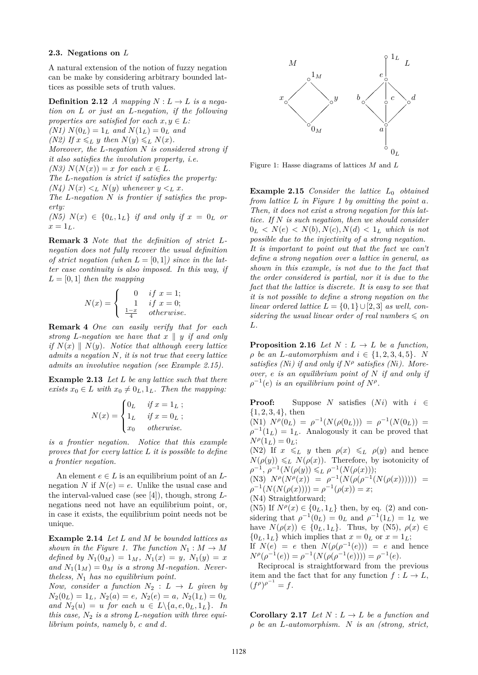#### **2.3. Negations on** *L*

A natural extension of the notion of fuzzy negation can be make by considering arbitrary bounded lattices as possible sets of truth values.

**Definition 2.12** *A mapping*  $N: L \rightarrow L$  *is a negation on L or just an L-negation, if the following properties are satisfied for each*  $x, y \in L$ *:* 

 $(N1)$   $N(0_L) = 1_L$  *and*  $N(1_L) = 0_L$  *and* 

 $(N2)$  *If*  $x \leq L$  *y then*  $N(y) \leq L N(x)$ *.* 

*Moreover, the L-negation N is considered strong if it also satisfies the involution property, i.e.*

 $(N3)$   $N(N(x)) = x$  *for each*  $x \in L$ *.* 

*The L-negation is strict if satisfies the property:*

*(N4)*  $N(x) < L N(y)$  *whenever*  $y < L x$ *.* 

*The L-negation N is frontier if satisfies the property:*

 $(N5)$   $N(x) \in \{0_L, 1_L\}$  *if and only if*  $x = 0_L$  *or*  $x = 1_L$ .

**Remark 3** *Note that the definition of strict Lnegation does not fully recover the usual definition of strict negation (when*  $L = [0, 1]$ *) since in the latter case continuity is also imposed. In this way, if*  $L = [0, 1]$  *then the mapping* 

$$
N(x) = \begin{cases} 0 & if x = 1; \\ 1 & if x = 0; \\ \frac{1-x}{4} & otherwise. \end{cases}
$$

**Remark 4** *One can easily verify that for each strong L*-negation we have that  $x \parallel y$  *if and only if*  $N(x) \parallel N(y)$ *. Notice that although every lattice admits a negation N, it is not true that every lattice admits an involutive negation (see Example 2.15).*

**Example 2.13** *Let L be any lattice such that there exists*  $x_0 \in L$  *with*  $x_0 \neq 0_L, 1_L$ *. Then the mapping:* 

$$
N(x) = \begin{cases} 0_L & \text{if } x = 1_L ; \\ 1_L & \text{if } x = 0_L ; \\ x_0 & \text{otherwise.} \end{cases}
$$

*is a frontier negation. Notice that this example proves that for every lattice L it is possible to define a frontier negation.*

An element  $e \in L$  is an equilibrium point of an  $L$ negation *N* if  $N(e) = e$ . Unlike the usual case and the interval-valued case (see [4]), though, strong *L*negations need not have an equilibrium point, or, in case it exists, the equilibrium point needs not be unique.

**Example 2.14** *Let L and M be bounded lattices as shown in the Figure 1. The function*  $N_1 : M \to M$ *defined by*  $N_1(0_M) = 1_M$ ,  $N_1(x) = y$ ,  $N_1(y) = x$ and  $N_1(1_M) = 0_M$  *is a strong M*-negation. Never*theless, N*<sup>1</sup> *has no equilibrium point.*

*Now, consider a function*  $N_2 : L \rightarrow L$  *given by*  $N_2(0_L) = 1_L$ *,*  $N_2(a) = e$ *,*  $N_2(e) = a$ *,*  $N_2(1_L) = 0_L$ *and*  $N_2(u) = u$  *for each*  $u \in L \setminus \{a, e, 0_L, 1_L\}$ . *In this case, N*<sup>2</sup> *is a strong L-negation with three equilibrium points, namely b, c and d.*



Figure 1: Hasse diagrams of lattices *M* and *L*

**Example 2.15** *Consider the lattice*  $L_0$  *obtained from lattice L in Figure 1 by omitting the point a. Then, it does not exist a strong negation for this lattice. If N is such negation, then we should consider*  $0_L < N(e) < N(b), N(c), N(d) < 1_L$  which is not *possible due to the injectivity of a strong negation. It is important to point out that the fact we can't define a strong negation over a lattice in general, as shown in this example, is not due to the fact that the order considered is partial, nor it is due to the fact that the lattice is discrete. It is easy to see that it is not possible to define a strong negation on the linear ordered lattice*  $L = \{0, 1\} \cup [2, 3]$  *as well, considering the usual linear order of real numbers*  $\leqslant$  *on L.*

**Proposition 2.16** *Let*  $N: L \rightarrow L$  *be a function,*  $\rho$  *be an L*-*automorphism and*  $i \in \{1, 2, 3, 4, 5\}$ *. N* satisfies (N*i*) if and only if  $N^{\rho}$  satisfies (N*i*). More*over, e is an equilibrium point of N if and only if*  $\rho^{-1}(e)$  *is an equilibrium point of*  $N^{\rho}$ .

**Proof:** Suppose *N* satisfies  $(Ni)$  with  $i \in$ {1*,* 2*,* 3*,* 4}, then

 $(N1)$   $N^{\rho}(0_L) = \rho^{-1}(N(\rho(0_L))) = \rho^{-1}(N(0_L)) =$  $\rho^{-1}(1_L) = 1_L$ . Analogously it can be proved that  $N^{\rho}(1_L) = 0_L;$ 

(N2) If  $x \leq L$  *y* then  $\rho(x) \leq L$   $\rho(y)$  and hence  $N(\rho(y)) \leq L N(\rho(x))$ . Therefore, by isotonicity of  $\rho^{-1}, \, \rho^{-1}(N(\rho(y)) \leq L \rho^{-1}(N(\rho(x))),$ 

(N3) 
$$
N^{\rho}(N^{\rho}(x)) = \rho^{-1}(N(\rho(\rho^{-1}(N(\rho(x)))))) = \rho^{-1}(N(N(\rho(x)))) = \rho^{-1}(\rho(x)) = x;
$$

(N4) Straightforward;

(N5) If  $N^{\rho}(x) \in \{0_L, 1_L\}$  then, by eq. (2) and considering that  $\rho^{-1}(0_L) = 0_L$  and  $\rho^{-1}(1_L) = 1_L$  we have  $N(\rho(x)) \in \{0_L, 1_L\}$ . Thus, by (N5),  $\rho(x) \in$  $\{0_L, 1_L\}$  which implies that  $x = 0_L$  or  $x = 1_L$ ; If  $N(e) = e$  then  $N(\rho(\rho^{-1}(e))) = e$  and hence  $N^{\rho}(\rho^{-1}(e)) = \rho^{-1}(N(\rho(\rho^{-1}(e)))) = \rho^{-1}(e).$ 

Reciprocal is straightforward from the previous item and the fact that for any function  $f: L \to L$ ,  $(f^{\rho})^{\rho^{-1}} = f.$ 

**Corollary 2.17** *Let*  $N: L \to L$  *be a function and ρ be an L-automorphism. N is an (strong, strict,*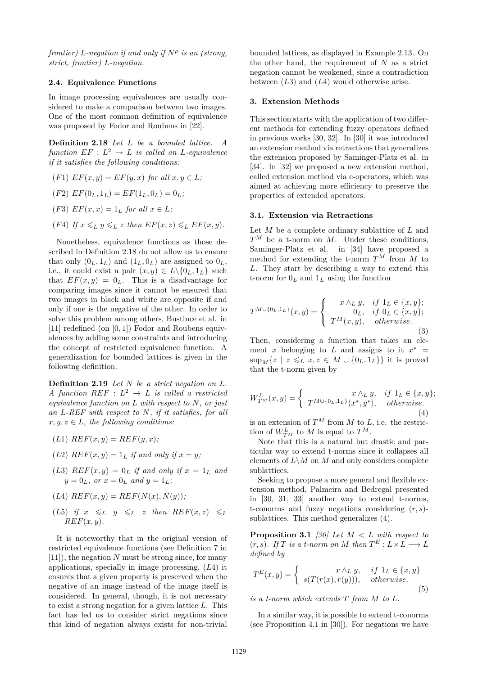*frontier) L-negation if and only if N<sup>ρ</sup> is an (strong, strict, frontier) L-negation.*

## **2.4. Equivalence Functions**

In image processing equivalences are usually considered to make a comparison between two images. One of the most common definition of equivalence was proposed by Fodor and Roubens in [22].

**Definition 2.18** *Let L be a bounded lattice. A*  $function EF: L^2 \rightarrow L$  *is called an L-equivalence if it satisfies the following conditions:*

 $(F1) EF(x, y) = EF(y, x)$  *for all*  $x, y \in L$ ;

$$
(F2) EF(0L, 1L) = EF(1L, 0L) = 0L;
$$

- $(F3) EF(x, x) = 1_L$  *for all*  $x \in L$ ;
- (*F*4) *If*  $x \leq L$   $y \leq L$  *z* then  $EF(x, z) \leq L$   $EF(x, y)$ .

Nonetheless, equivalence functions as those described in Definition 2.18 do not allow us to ensure that only  $(0_L, 1_L)$  and  $(1_L, 0_L)$  are assigned to  $0_L$ , i.e., it could exist a pair  $(x, y) \in L \setminus \{0_L, 1_L\}$  such that  $EF(x, y) = 0_L$ . This is a disadvantage for comparing images since it cannot be ensured that two images in black and white are opposite if and only if one is the negative of the other. In order to solve this problem among others, Bustince et al. in [11] redefined (on [0*,* 1]) Fodor and Roubens equivalences by adding some constraints and introducing the concept of restricted equivalence function. A generalization for bounded lattices is given in the following definition.

**Definition 2.19** *Let N be a strict negation on L. A* function  $REF: L^2 \rightarrow L$  is called a restricted *equivalence function on L with respect to N, or just an L-REF with respect to N, if it satisfies, for all*  $x, y, z \in L$ *, the following conditions:* 

- $(L1)$   $REF(x, y) = REF(y, x)$ ;
- (*L*2)  $REF(x, y) = 1<sub>L</sub>$  *if and only if*  $x = y$ ;
- (*L*3)  $REF(x, y) = 0_L$  *if and only if*  $x = 1_L$  *and*  $y = 0_L$ *, or*  $x = 0_L$  *and*  $y = 1_L$ *;*

$$
(L4) \text{ } REF(x, y) = REF(N(x), N(y));
$$

(L5) if 
$$
x \leq_L y \leq_L z
$$
 then  $REF(x, z) \leq_L$   
 $REF(x, y)$ .

It is noteworthy that in the original version of restricted equivalence functions (see Definition 7 in [11]), the negation *N* must be strong since, for many applications, specially in image processing, (*L*4) it ensures that a given property is preserved when the negative of an image instead of the image itself is considered. In general, though, it is not necessary to exist a strong negation for a given lattice *L*. This fact has led us to consider strict negations since this kind of negation always exists for non-trivial

bounded lattices, as displayed in Example 2.13. On the other hand, the requirement of *N* as a strict negation cannot be weakened, since a contradiction between (*L*3) and (*L*4) would otherwise arise.

## **3. Extension Methods**

This section starts with the application of two different methods for extending fuzzy operators defined in previous works [30, 32]. In [30] it was introduced an extension method via retractions that generalizes the extension proposed by Saminger-Platz et al. in [34]. In [32] we proposed a new extension method, called extension method via e-operators, which was aimed at achieving more efficiency to preserve the properties of extended operators.

#### **3.1. Extension via Retractions**

Let *M* be a complete ordinary sublattice of *L* and  $T^M$  be a t-norm on  $M$ . Under these conditions, Saminger-Platz et al. in [34] have proposed a method for extending the t-norm  $T^M$  from  $M$  to *L*. They start by describing a way to extend this t-norm for  $0_L$  and  $1_L$  using the function

$$
T^{M \cup \{0_L, 1_L\}}(x, y) = \begin{cases} x \wedge_L y, & \text{if } 1_L \in \{x, y\}; \\ 0_L, & \text{if } 0_L \in \{x, y\}; \\ T^M(x, y), & \text{otherwise.} \end{cases}
$$
(3)

Then, considering a function that takes an element *x* belonging to *L* and assigns to it  $x^*$  $\sup_M\{z \mid z \leq L \ x, z \in M \cup \{0_L, 1_L\}\}\$ it is proved that the t-norm given by

$$
W_{T^M}^L(x,y) = \begin{cases} x \wedge_L y, & \text{if } 1_L \in \{x,y\}; \\ T^{M \cup \{0_L,1_L\}}(x^*,y^*), & otherwise. \end{cases}
$$
(4)

is an extension of  $T^M$  from  $M$  to  $L$ , i.e. the restriction of  $W_{T^M}^L$  to  $M$  is equal to  $T^M$ .

Note that this is a natural but drastic and particular way to extend t-norms since it collapses all elements of  $L\backslash M$  on  $M$  and only considers complete sublattices.

Seeking to propose a more general and flexible extension method, Palmeira and Bedregal presented in [30, 31, 33] another way to extend t-norms, t-conorms and fuzzy negations considering (*r, s*) sublattices. This method generalizes (4).

**Proposition 3.1** *[30] Let M < L with respect to*  $(r, s)$ *. If T* is a *t*-norm on *M* then  $T^E: L \times L \longrightarrow L$ *defined by*

$$
T^{E}(x,y) = \begin{cases} x \wedge_L y, & \text{if } 1_L \in \{x,y\} \\ s(T(r(x), r(y))), & otherwise. \end{cases}
$$
(5)

*is a t-norm which extends T from M to L.*

In a similar way, it is possible to extend t-conorms (see Proposition 4.1 in [30]). For negations we have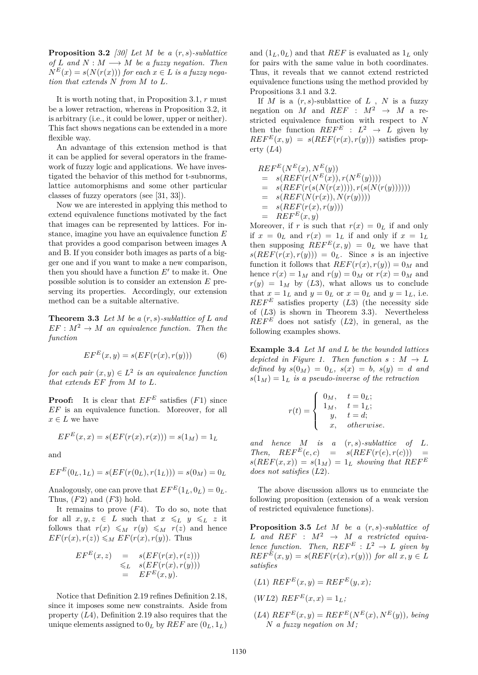**Proposition 3.2** *[30] Let M be a* (*r, s*)*-sublattice of L* and  $N : M \longrightarrow M$  *be a fuzzy negation. Then*  $N^{E}(x) = s(N(r(x)))$  *for each*  $x \in L$  *is a fuzzy negation that extends N from M to L.*

It is worth noting that, in Proposition 3.1, *r* must be a lower retraction, whereas in Proposition 3.2, it is arbitrary (i.e., it could be lower, upper or neither). This fact shows negations can be extended in a more flexible way.

An advantage of this extension method is that it can be applied for several operators in the framework of fuzzy logic and applications. We have investigated the behavior of this method for t-subnorms, lattice automorphisms and some other particular classes of fuzzy operators (see [31, 33]).

Now we are interested in applying this method to extend equivalence functions motivated by the fact that images can be represented by lattices. For instance, imagine you have an equivalence function *E* that provides a good comparison between images A and B. If you consider both images as parts of a bigger one and if you want to make a new comparison, then you should have a function  $E'$  to make it. One possible solution is to consider an extension *E* preserving its properties. Accordingly, our extension method can be a suitable alternative.

**Theorem 3.3** *Let M be a* (*r, s*)*-sublattice of L and*  $EF : M^2 \to M$  *an equivalence function. Then the function*

$$
EF^{E}(x, y) = s(EF(r(x), r(y)))
$$
 (6)

*for each pair*  $(x, y) \in L^2$  *is an equivalence function that extends EF from M to L.*

**Proof:** It is clear that  $EF^E$  satisfies  $(F1)$  since *EF* is an equivalence function. Moreover, for all  $x \in L$  we have

$$
EF^{E}(x, x) = s(EF(r(x), r(x))) = s(1_M) = 1_L
$$

and

$$
EF^{E}(0_L, 1_L) = s(EF(r(0_L), r(1_L))) = s(0_M) = 0_L
$$

Analogously, one can prove that  $EF^{E}(1_L, 0_L) = 0_L$ . Thus, (*F*2) and (*F*3) hold.

It remains to prove (*F*4). To do so, note that for all  $x, y, z \in L$  such that  $x \leq L$   $y \leq L$  *z* it follows that  $r(x) \leq M$   $r(y) \leq M$   $r(z)$  and hence  $EF(r(x), r(z)) \leq M \ EF(r(x), r(y))$ . Thus

$$
EF^{E}(x, z) = s(EF(r(x), r(z)))
$$
  
\n
$$
\leq_L s(EF(r(x), r(y)))
$$
  
\n
$$
= EF^{E}(x, y).
$$

Notice that Definition 2.19 refines Definition 2.18, since it imposes some new constraints. Aside from property (*L*4), Definition 2.19 also requires that the unique elements assigned to  $0_L$  by  $REF$  are  $(0_L, 1_L)$ 

and  $(1_L, 0_L)$  and that *REF* is evaluated as  $1_L$  only for pairs with the same value in both coordinates. Thus, it reveals that we cannot extend restricted equivalence functions using the method provided by Propositions 3.1 and 3.2.

If  $M$  is a  $(r, s)$ -sublattice of  $L$ ,  $N$  is a fuzzy negation on *M* and *REF* :  $M^2 \rightarrow M$  a restricted equivalence function with respect to *N* then the function  $REF^E$  :  $L^2 \rightarrow L$  given by  $REF^{E}(x, y) = s(REF(r(x), r(y)))$  satisfies property (*L*4)

$$
REF^{E}(N^{E}(x), N^{E}(y))
$$
  
=  $s(REF(r(N^{E}(x)), r(N^{E}(y))))$   
=  $s(REF(r(s(N(r(x))))), r(s(N(r(y)))))))$   
=  $s(REF(N(r(x)), N(r(y))))$   
=  $s(REF(r(x), r(y)))$   
=  $REF^{E}(x, y)$ 

Moreover, if *r* is such that  $r(x) = 0_L$  if and only if  $x = 0_L$  and  $r(x) = 1_L$  if and only if  $x = 1_L$ then supposing  $\overrightarrow{REF}^E(x,y) = 0_L$  we have that  $s(REF(r(x), r(y))) = 0_L$ . Since *s* is an injective function it follows that  $REF(r(x), r(y)) = 0_M$  and hence  $r(x) = 1_M$  and  $r(y) = 0_M$  or  $r(x) = 0_M$  and  $r(y) = 1_M$  by (L3), what allows us to conclude that  $x = 1_L$  and  $y = 0_L$  or  $x = 0_L$  and  $y = 1_L$ , i.e.  $REF^E$  satisfies property  $(L3)$  (the necessity side of (*L*3) is shown in Theorem 3.3). Nevertheless  $REF^E$  does not satisfy  $(L2)$ , in general, as the following examples shows.

**Example 3.4** *Let M and L be the bounded lattices depicted in Figure 1. Then function*  $s : M \to L$  $defined$   $by$   $s(0_M) = 0_L$ ,  $s(x) = b$ ,  $s(y) = d$  and  $s(1_M) = 1_L$  *is a pseudo-inverse of the retraction* 

$$
r(t) = \begin{cases} 0_M, & t = 0_L; \\ 1_M, & t = 1_L; \\ y, & t = d; \\ x, & otherwise. \end{cases}
$$

*and hence M is a* (*r, s*)*-sublattice of L.*  $Then, *REF*<sup>E</sup>(e, c) = s(REF(r(e), r(c))) =$  $s(REF(x, x)) = s(1_M) = 1_L$  *showing that*  $REF^E$ *does not satisfies* (*L*2)*.*

The above discussion allows us to enunciate the following proposition (extension of a weak version of restricted equivalence functions).

**Proposition 3.5** *Let M be a* (*r, s*)*-sublattice of*  $L$  *and*  $REF$  :  $M^2 \rightarrow M$  *a restricted equivalence function.* Then,  $REF^E: L^2 \rightarrow L$  given by  $REF^{E}(x, y) = s(REF(r(x), r(y)))$  *for all*  $x, y \in L$ *satisfies*

- $(L1)$   $REF^{E}(x, y) = REF^{E}(y, x);$
- $(W L2) REF<sup>E</sup>(x, x) = 1<sub>L</sub>;$
- $(L4)$   $REF^{E}(x, y) = REF^{E}(N^{E}(x), N^{E}(y))$ , being *N a fuzzy negation on M;*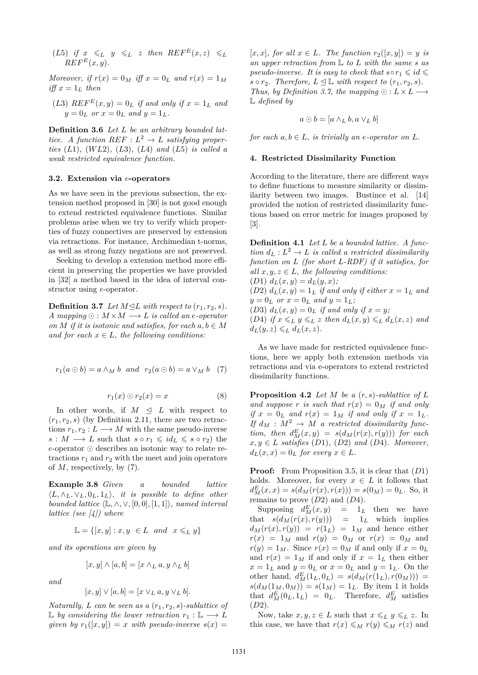(*L*5) *if*  $x \leq L$   $y \leq L$  *z then*  $REF^{E}(x, z) \leq L$  $REF^{E}(x, y)$ .

*Moreover, if*  $r(x) = 0_M$  *iff*  $x = 0_L$  *and*  $r(x) = 1_M$ *iff*  $x = 1_L$  *then* 

(*L*3)  $REF^{E}(x, y) = 0_L$  *if and only if*  $x = 1_L$  *and*  $y = 0_L$  *or*  $x = 0_L$  *and*  $y = 1_L$ *.* 

**Definition 3.6** *Let L be an arbitrary bounded lattice.* A function  $REF: L^2 \rightarrow L$  *satisfying properties* (*L*1)*,* (*W L*2)*,* (*L*3)*,* (*L*4) *and* (*L*5) *is called a weak restricted equivalence function.*

## **3.2. Extension via** *e***-operators**

As we have seen in the previous subsection, the extension method proposed in [30] is not good enough to extend restricted equivalence functions. Similar problems arise when we try to verify which properties of fuzzy connectives are preserved by extension via retractions. For instance, Archimedian t-norms, as well as strong fuzzy negations are not preserved.

Seeking to develop a extension method more efficient in preserving the properties we have provided in [32] a method based in the idea of interval constructor using *e*-operator.

**Definition 3.7** *Let*  $M \trianglelefteq L$  *with respect to*  $(r_1, r_2, s)$ *.*  $A$  mapping  $\odot : M \times M \longrightarrow L$  *is called an e-operator on M* if it is isotonic and satisfies, for each  $a, b \in M$ *and for each*  $x \in L$ *, the following conditions:* 

$$
r_1(a \odot b) = a \wedge_M b \quad and \quad r_2(a \odot b) = a \vee_M b \quad (7)
$$

$$
r_1(x) \odot r_2(x) = x \tag{8}
$$

In other words, if  $M \leq L$  with respect to  $(r_1, r_2, s)$  (by Definition 2.11, there are two retractions  $r_1, r_2 : L \longrightarrow M$  with the same pseudo-inverse *s* : *M* → *L* such that  $s \circ r_1 \leq id_L \leq s \circ r_2$  the  $e$ -operator  $\odot$  describes an isotonic way to relate retractions  $r_1$  and  $r_2$  with the meet and join operators of *M*, respectively, by (7).

**Example 3.8** *Given a bounded lattice*  $\langle L, \wedge_L, \vee_L, 0_L, 1_L \rangle$ , *it is possible to define other*  $bounded$  *lattice*  $\langle \mathbb{L}, \wedge, \vee, [0,0], [1,1] \rangle$ *, named interval lattice (see [4]) where*

$$
\mathbb{L} = \{ [x, y] : x, y \in L \text{ and } x \leq_L y \}
$$

*and its operations are given by*

$$
[x, y] \wedge [a, b] = [x \wedge_L a, y \wedge_L b]
$$

*and*

$$
[x,y]\vee[a,b]=[x\vee_L a, y\vee_L b].
$$

*Naturally, L can be seen as a*  $(r_1, r_2, s)$ *-sublattice of* L *by considering the lower retraction*  $r_1$  : L → *L given by*  $r_1([x, y]) = x$  *with pseudo-inverse*  $s(x) =$ 

 $[x, x]$ *, for all*  $x \in L$ *. The function*  $r_2([x, y]) = y$  *is an upper retraction from* L *to L with the same s as pseudo-inverse. It is easy to check that*  $s \circ r_1 \leq id \leq$  $s \circ r_2$ *. Therefore,*  $L \leq \mathbb{L}$  *with respect to*  $(r_1, r_2, s)$ *. Thus, by Definition 3.7, the mapping*  $\odot$  :  $L \times L \longrightarrow$ L *defined by*

$$
a \odot b = [a \wedge_L b, a \vee_L b]
$$

*for each*  $a, b \in L$ *, is trivially an e-operator on*  $L$ *.* 

## **4. Restricted Dissimilarity Function**

According to the literature, there are different ways to define functions to measure similarity or dissimilarity between two images. Bustince et al. [14] provided the notion of restricted dissimilarity functions based on error metric for images proposed by [3].

**Definition 4.1** *Let L be a bounded lattice. A function*  $d_L: L^2 \to L$  *is called a restricted dissimilarity function on L (for short L-RDF) if it satisfies, for all*  $x, y, z \in L$ *, the following conditions:* 

 $(D1)$   $d_L(x, y) = d_L(y, x)$ ;

(*D2*)  $d_L(x, y) = 1_L$  *if and only if either*  $x = 1_L$  *and*  $y = 0_L$  *or*  $x = 0_L$  *and*  $y = 1_L$ *;* 

(*D3*)  $d_L(x, y) = 0_L$  *if and only if*  $x = y$ ;

 $(D4)$  *if*  $x \le L$   $y \le L$  *z then*  $d_L(x, y) \le L$   $d_L(x, z)$  *and*  $d_L(y, z) \leq L \, d_L(x, z).$ 

As we have made for restricted equivalence functions, here we apply both extension methods via retractions and via e-operators to extend restricted dissimilarity functions.

**Proposition 4.2** *Let M be a* (*r, s*)*-sublattice of L* and suppose *r* is such that  $r(x) = 0$ *M* if and only *if*  $x = 0_L$  *and*  $r(x) = 1_M$  *if and only if*  $x = 1_L$ *. If*  $d_M : M^2 \to M$  *a restricted dissimilarity function, then*  $d_M^E(x, y) = s(d_M(r(x), r(y)))$  *for each*  $x, y \in L$  *satisfies* (*D*1)*,* (*D*2) *and* (*D*4)*. Moreover,*  $d_L(x, x) = 0_L$  *for every*  $x \in L$ *.* 

**Proof:** From Proposition 3.5, it is clear that (*D*1) holds. Moreover, for every  $x \in L$  it follows that  $d_M^E(x, x) = s(d_M(r(x), r(x))) = s(0_M) = 0_L$ . So, it remains to prove (*D*2) and (*D*4).

Supposing  $d_M^E(x, y) = 1_L$  then we have that  $s(d_M(r(x), r(y))) = 1_L$  which implies  $d_M(r(x), r(y)) = r(1_L) = 1_M$  and hence either  $r(x) = 1_M$  and  $r(y) = 0_M$  or  $r(x) = 0_M$  and  $r(y) = 1_M$ . Since  $r(x) = 0_M$  if and only if  $x = 0_L$ and  $r(x) = 1_M$  if and only if  $x = 1_L$  then either  $x = 1_L$  and  $y = 0_L$  or  $x = 0_L$  and  $y = 1_L$ . On the other hand,  $d_M^E(1_L, 0_L) = s(d_M(r(1_L), r(0_M)))$  =  $s(d_M(1_M, 0_M)) = s(1_M) = 1_L$ . By item 1 it holds that  $d_M^E(0_L, 1_L) = 0_L$ . Therefore,  $d_M^E$  satisfies (*D*2).

Now, take  $x, y, z \in L$  such that  $x \leq L y \leq L z$ . In this case, we have that  $r(x) \leq_M r(y) \leq_M r(z)$  and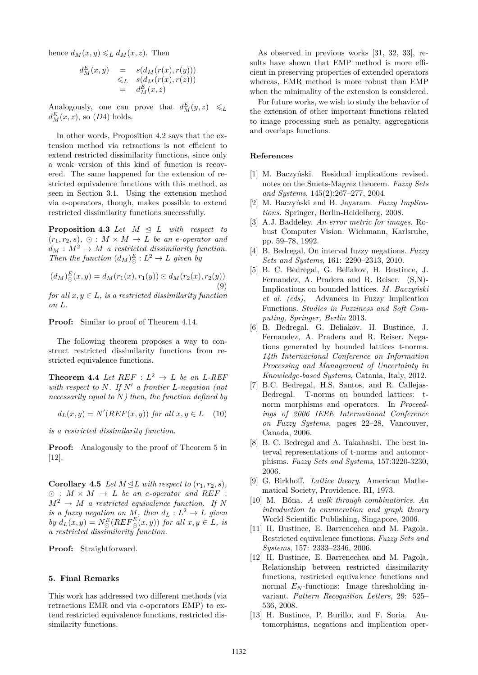hence  $d_M(x, y) \leq L d_M(x, z)$ . Then

$$
d_M^E(x, y) = s(d_M(r(x), r(y)))
$$
  
\n
$$
\leq_L s(d_M(r(x), r(z)))
$$
  
\n
$$
= d_M^E(x, z)
$$

Analogously, one can prove that  $d_M^E(y, z) \leq L$  $d_M^E(x, z)$ , so  $(D4)$  holds.

In other words, Proposition 4.2 says that the extension method via retractions is not efficient to extend restricted dissimilarity functions, since only a weak version of this kind of function is recovered. The same happened for the extension of restricted equivalence functions with this method, as seen in Section 3.1. Using the extension method via e-operators, though, makes possible to extend restricted dissimilarity functions successfully.

**Proposition 4.3** *Let*  $M \leq L$  *with respect to*  $(r_1, r_2, s), \odot : M \times M \rightarrow L$  *be an e-operator and*  $d_M : M^2 \to M$  *a restricted dissimilarity function. Then the function*  $(d_M)_\odot^E : L^2 \to L$  *given by* 

$$
(d_M)_\odot^E(x,y) = d_M(r_1(x), r_1(y)) \odot d_M(r_2(x), r_2(y))
$$
\n(9)

*for all*  $x, y \in L$ *, is a restricted dissimilarity function on L.*

**Proof:** Similar to proof of Theorem 4.14.

The following theorem proposes a way to construct restricted dissimilarity functions from restricted equivalence functions.

**Theorem 4.4** *Let*  $REF: L^2 \rightarrow L$  *be an L-REF with respect to*  $N$ *. If*  $N'$  *a frontier*  $L$ *-negation (not necessarily equal to N) then, the function defined by*

$$
d_L(x, y) = N'(REF(x, y)) \text{ for all } x, y \in L \quad (10)
$$

*is a restricted dissimilarity function.*

**Proof:** Analogously to the proof of Theorem 5 in [12].

**Corollary 4.5** *Let*  $M \trianglelefteq L$  *with respect to*  $(r_1, r_2, s)$ *,*  $\odot$  :  $M \times M \rightarrow L$  *be an e-operator and REF* :  $M^2 \rightarrow M$  *a restricted equivalence function.* If N *is a fuzzy negation on*  $M$ *, then*  $d_L: L^2 \to L$  *given*  $by$   $d_L(x, y) = N_{\odot}^E(REF_{\odot}^E(x, y))$  *for all*  $x, y \in L$ *, is a restricted dissimilarity function.*

**Proof:** Straightforward.

#### **5. Final Remarks**

This work has addressed two different methods (via retractions EMR and via e-operators EMP) to extend restricted equivalence functions, restricted dissimilarity functions.

As observed in previous works [31, 32, 33], results have shown that EMP method is more efficient in preserving properties of extended operators whereas, EMR method is more robust than EMP when the minimality of the extension is considered.

For future works, we wish to study the behavior of the extension of other important functions related to image processing such as penalty, aggregations and overlaps functions.

## **References**

- [1] M. Baczyński. Residual implications revised. notes on the Smets-Magrez theorem. *Fuzzy Sets and Systems*, 145(2):267–277, 2004.
- [2] M. Baczyński and B. Jayaram. *Fuzzy Implications*. Springer, Berlin-Heidelberg, 2008.
- [3] A.J. Baddeley. *An error metric for images*. Robust Computer Vision. Wichmann, Karlsruhe, pp. 59–78, 1992.
- [4] B. Bedregal. On interval fuzzy negations. *Fuzzy Sets and Systems*, 161: 2290–2313, 2010.
- [5] B. C. Bedregal, G. Beliakov, H. Bustince, J. Fernandez, A. Pradera and R. Reiser. (S,N)- Implications on bounded lattices. *M. Baczyński et al. (eds)*, Advances in Fuzzy Implication Functions. *Studies in Fuzziness and Soft Computing, Springer, Berlin* 2013.
- [6] B. Bedregal, G. Beliakov, H. Bustince, J. Fernandez, A. Pradera and R. Reiser. Negations generated by bounded lattices t-norms. *14th Internacional Conference on Information Processing and Management of Uncertainty in Knowledge-based Systems*, Catania, Italy, 2012.
- [7] B.C. Bedregal, H.S. Santos, and R. Callejas-Bedregal. T-norms on bounded lattices: tnorm morphisms and operators. In *Proceedings of 2006 IEEE International Conference on Fuzzy Systems*, pages 22–28, Vancouver, Canada, 2006.
- [8] B. C. Bedregal and A. Takahashi. The best interval representations of t-norms and automorphisms. *Fuzzy Sets and Systems*, 157:3220-3230, 2006.
- [9] G. Birkhoff. *Lattice theory*. American Mathematical Society, Providence. RI, 1973.
- [10] M. Bóna. *A walk through combinatorics. An introduction to enumeration and graph theory* World Scientific Publishing, Singapore, 2006.
- [11] H. Bustince, E. Barrenechea and M. Pagola. Restricted equivalence functions. *Fuzzy Sets and Systems*, 157: 2333–2346, 2006.
- [12] H. Bustince, E. Barrenechea and M. Pagola. Relationship between restricted dissimilarity functions, restricted equivalence functions and normal *E<sup>N</sup>* -functions: Image thresholding invariant. *Pattern Recognition Letters*, 29: 525– 536, 2008.
- [13] H. Bustince, P. Burillo, and F. Soria. Automorphisms, negations and implication oper-